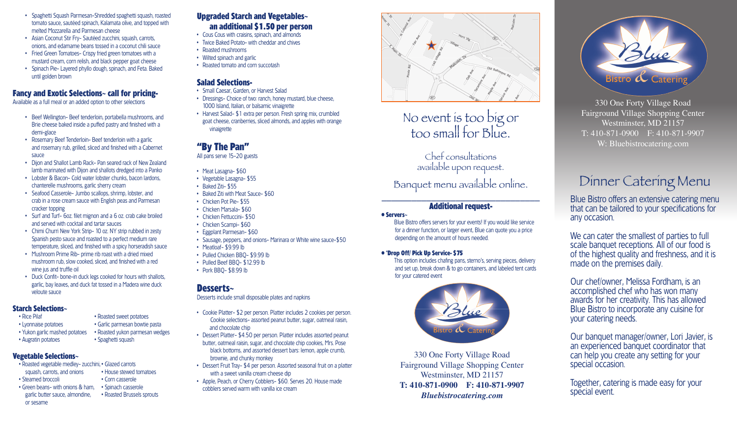- Spaghetti Squash Parmesan-Shredded spaghetti squash, roasted tomato sauce, sautéed spinach, Kalamata olive, and topped with melted Mozzarella and Parmesan cheese
- Asian Coconut Stir Fry- Sautéed zucchini, squash, carrots, onions, and edamame beans tossed in a coconut chili sauce
- Fried Green Tomatoes- Crispy fried green tomatoes with a mustard cream, corn relish, and black pepper goat cheese
- Spinach Pie- Layered phyllo dough, spinach, and Feta. Baked until golden brown

## **Fancy and Exotic Selections~ call for pricing-**

Available as a full meal or an added option to other selections

- Beef Wellington- Beef tenderloin, portabella mushrooms, and Brie cheese baked inside a puffed pastry and finished with a demi-glace
- Rosemary Beef Tenderloin- Beef tenderloin with a garlic and rosemary rub, grilled, sliced and finished with a Cabernet sauce
- Dijon and Shallot Lamb Rack- Pan seared rack of New Zealand lamb marinated with Dijon and shallots dredged into a Panko
- Lobster & Bacon- Cold water lobster chunks, bacon lardons, chanterelle mushrooms, garlic sherry cream
- Seafood Casserole- Jumbo scallops, shrimp, lobster, and crab in a rose cream sauce with English peas and Parmesan cracker topping
- Surf and Turf- 6oz. filet mignon and a 6 oz. crab cake broiled and served with cocktail and tartar sauces
- Chimi Churri New York Strip- 10 oz. NY strip rubbed in zesty Spanish pesto sauce and roasted to a perfect medium rare temperature, sliced, and finished with a spicy horseradish sauce
- Mushroom Prime Rib- prime rib roast with a dried mixed mushroom rub, slow cooked, sliced, and finished with a red wine jus and truffle oil
- Duck Confit- bone-in duck legs cooked for hours with shallots, garlic, bay leaves, and duck fat tossed in a Madera wine duck veloute sauce

#### **Starch Selections~**

- 
- Lyonnaise potatoes Garlic parmesan bowtie pasta
- Yukon garlic mashed potatoes Roasted yukon parmesan wedges
- 

## **Vegetable Selections~**

- Roasted vegetable medley- zucchini, Glazed carrots squash, carrots, and onions • House stewed tomatoes
- Steamed broccoli Corn casserole
- Green beans- with onions & ham, Spinach casserole garlic butter sauce, almondine, • Roasted Brussels sprouts or sesame

## **Upgraded Starch and Vegetables~ an additional \$1.50 per person**

- Cous Cous with craisins, spinach, and almonds
- Twice Baked Potato- with cheddar and chives
- Roasted mushrooms
- Wilted spinach and garlic
- Roasted tomato and corn succotash

## **Salad Selections-**

- Small Caesar, Garden, or Harvest Salad
- Dressings- Choice of two: ranch, honey mustard, blue cheese, 1000 Island, Italian, or balsamic vinaigrette
- Harvest Salad- \$1 extra per person. Fresh spring mix, crumbled goat cheese, cranberries, sliced almonds, and apples with orange vinaigrette

# **"By The Pan"**

All pans serve 15-20 guests

- Meat Lasagna- \$60
- Vegetable Lasagna- \$55
- Baked Ziti- \$55
- Baked Ziti with Meat Sauce- \$60
- Chicken Pot Pie- \$55
- Chicken Marsala- \$60
- Chicken Fettuccini- \$50
- Chicken Scampi- \$60
- Eggplant Parmesan- \$60
- Sausage, peppers, and onions- Marinara or White wine sauce-\$50
- Meatloaf- \$9.99 lb
- Pulled Chicken BBQ- \$9.99 lb
- Pulled Beef BBQ- \$12.99 lb
- Pork BBQ- \$8.99 lb

## **Desserts~**

Desserts include small disposable plates and napkins

- Cookie Platter- \$2 per person. Platter includes 2 cookies per person. Cookie selections- assorted peanut butter, sugar, oatmeal raisin, and chocolate chip
- Dessert Platter- \$4.50 per person. Platter includes assorted peanut butter, oatmeal raisin, sugar, and chocolate chip cookies, Mrs. Pose black bottoms, and assorted dessert bars: lemon, apple crumb, brownie, and chunky monkey
- Dessert Fruit Tray- \$4 per person. Assorted seasonal fruit on a platter with a sweet vanilla cream cheese dip
- Apple, Peach, or Cherry Cobblers- \$60. Serves 20. House made cobblers served warm with vanilla ice cream



# No event is too big or too small for Blue.

Chef consultations available upon request.

Banquet menu available online.

#### \_\_\_\_\_\_\_\_\_\_\_\_\_\_\_\_\_\_\_\_\_\_\_\_\_\_\_\_\_\_\_\_ **Additional request-**

#### **• Servers~**

Blue Bistro offers servers for your events! If you would like service for a dinner function, or larger event, Blue can quote you a price depending on the amount of hours needed.

#### **• \*Drop Off/ Pick Up Service- \$75**

This option includes chafing pans, sterno's, serving pieces, delivery and set up, break down & to go containers, and labeled tent cards for your catered event



330 One Forty Village Road Fairground Village Shopping Center Westminster, MD 21157 **T: 410-871-0900 F: 410-871-9907** *Bluebistrocatering.com*



330 One Forty Village Road Fairground Village Shopping Center Westminster, MD 21157 T: 410-871-0900 F: 410-871-9907 W: Bluebistrocatering.com

# Dinner Catering Menu

Blue Bistro offers an extensive catering menu that can be tailored to your specifications for any occasion.

We can cater the smallest of parties to full scale banquet receptions. All of our food is of the highest quality and freshness, and it is made on the premises daily.

Our chef/owner, Melissa Fordham, is an accomplished chef who has won many awards for her creativity. This has allowed Blue Bistro to incorporate any cuisine for your catering needs.

Our banquet manager/owner, Lori Javier, is an experienced banquet coordinator that can help you create any setting for your special occasion.

Together, catering is made easy for your special event.

• Rice Pilaf • **Roasted sweet potatoes** 



- Augratin potatoes Spaghetti squash
	-